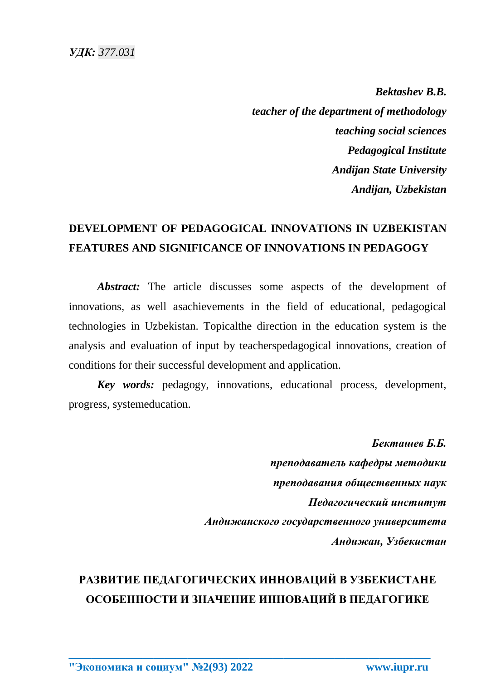*Bektashev B.B. teacher of the department of methodology teaching social sciences Pedagogical Institute Andijan State University Andijan, Uzbekistan*

## **DEVELOPMENT OF PEDAGOGICAL INNOVATIONS IN UZBEKISTAN FEATURES AND SIGNIFICANCE OF INNOVATIONS IN PEDAGOGY**

*Abstract:* The article discusses some aspects of the development of innovations, as well asachievements in the field of educational, pedagogical technologies in Uzbekistan. Topicalthe direction in the education system is the analysis and evaluation of input by teacherspedagogical innovations, creation of conditions for their successful development and application.

*Key words:* pedagogy, innovations, educational process, development, progress, systemeducation.

> *Бекташев Б.Б. преподаватель кафедры методики преподавания общественных наук Педагогический институт Андижанского государственного университета Андижан, Узбекистан*

## **РАЗВИТИЕ ПЕДАГОГИЧЕСКИХ ИННОВАЦИЙ В УЗБЕКИСТАНЕ ОСОБЕННОСТИ И ЗНАЧЕНИЕ ИННОВАЦИЙ В ПЕДАГОГИКЕ**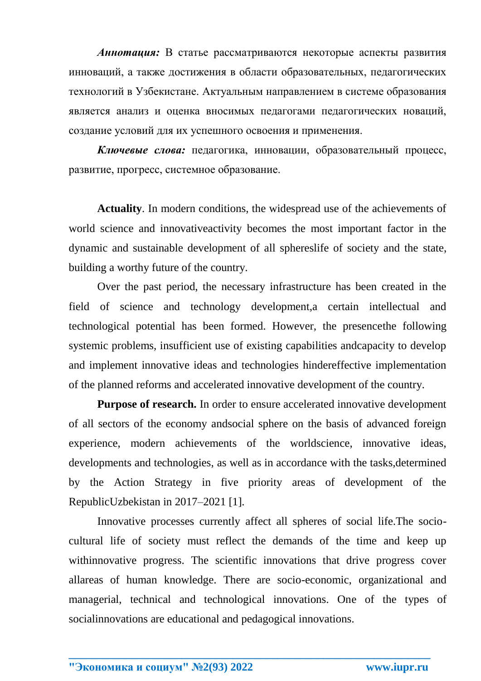*Аннотация:* В статье рассматриваются некоторые аспекты развития инноваций, а также достижения в области образовательных, педагогических технологий в Узбекистане. Актуальным направлением в системе образования является анализ и оценка вносимых педагогами педагогических новаций, создание условий для их успешного освоения и применения.

*Ключевые слова:* педагогика, инновации, образовательный процесс, развитие, прогресс, системное образование.

**Actuality**. In modern conditions, the widespread use of the achievements of world science and innovativeactivity becomes the most important factor in the dynamic and sustainable development of all sphereslife of society and the state, building a worthy future of the country.

Over the past period, the necessary infrastructure has been created in the field of science and technology development,a certain intellectual and technological potential has been formed. However, the presencethe following systemic problems, insufficient use of existing capabilities andcapacity to develop and implement innovative ideas and technologies hindereffective implementation of the planned reforms and accelerated innovative development of the country.

**Purpose of research.** In order to ensure accelerated innovative development of all sectors of the economy andsocial sphere on the basis of advanced foreign experience, modern achievements of the worldscience, innovative ideas, developments and technologies, as well as in accordance with the tasks,determined by the Action Strategy in five priority areas of development of the RepublicUzbekistan in 2017–2021 [1].

Innovative processes currently affect all spheres of social life.The sociocultural life of society must reflect the demands of the time and keep up withinnovative progress. The scientific innovations that drive progress cover allareas of human knowledge. There are socio-economic, organizational and managerial, technical and technological innovations. One of the types of socialinnovations are educational and pedagogical innovations.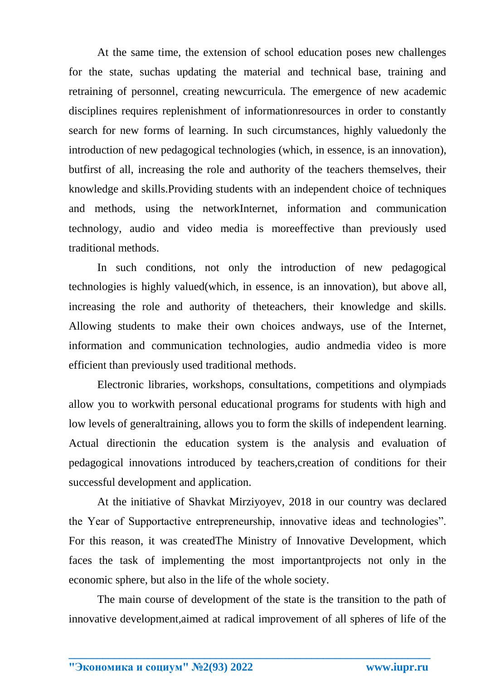At the same time, the extension of school education poses new challenges for the state, suchas updating the material and technical base, training and retraining of personnel, creating newcurricula. The emergence of new academic disciplines requires replenishment of informationresources in order to constantly search for new forms of learning. In such circumstances, highly valuedonly the introduction of new pedagogical technologies (which, in essence, is an innovation), butfirst of all, increasing the role and authority of the teachers themselves, their knowledge and skills.Providing students with an independent choice of techniques and methods, using the networkInternet, information and communication technology, audio and video media is moreeffective than previously used traditional methods.

In such conditions, not only the introduction of new pedagogical technologies is highly valued(which, in essence, is an innovation), but above all, increasing the role and authority of theteachers, their knowledge and skills. Allowing students to make their own choices andways, use of the Internet, information and communication technologies, audio andmedia video is more efficient than previously used traditional methods.

Electronic libraries, workshops, consultations, competitions and olympiads allow you to workwith personal educational programs for students with high and low levels of generaltraining, allows you to form the skills of independent learning. Actual directionin the education system is the analysis and evaluation of pedagogical innovations introduced by teachers,creation of conditions for their successful development and application.

At the initiative of Shavkat Mirziyoyev, 2018 in our country was declared the Year of Supportactive entrepreneurship, innovative ideas and technologies". For this reason, it was createdThe Ministry of Innovative Development, which faces the task of implementing the most importantprojects not only in the economic sphere, but also in the life of the whole society.

The main course of development of the state is the transition to the path of innovative development,aimed at radical improvement of all spheres of life of the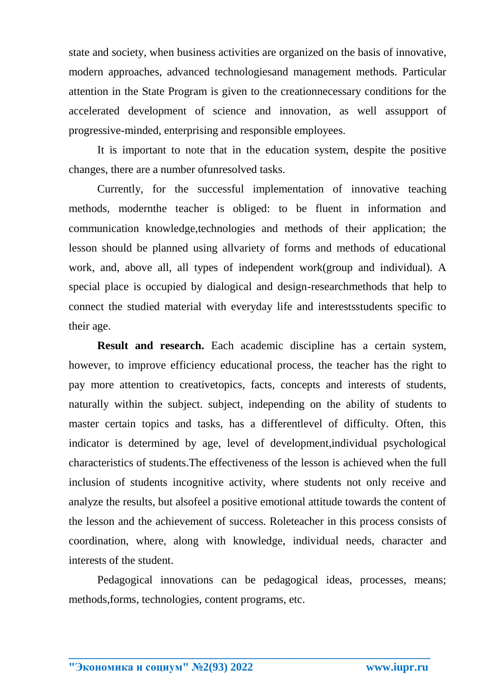state and society, when business activities are organized on the basis of innovative, modern approaches, advanced technologiesand management methods. Particular attention in the State Program is given to the creationnecessary conditions for the accelerated development of science and innovation, as well assupport of progressive-minded, enterprising and responsible employees.

It is important to note that in the education system, despite the positive changes, there are a number ofunresolved tasks.

Currently, for the successful implementation of innovative teaching methods, modernthe teacher is obliged: to be fluent in information and communication knowledge,technologies and methods of their application; the lesson should be planned using allvariety of forms and methods of educational work, and, above all, all types of independent work(group and individual). A special place is occupied by dialogical and design-researchmethods that help to connect the studied material with everyday life and interestsstudents specific to their age.

**Result and research.** Each academic discipline has a certain system, however, to improve efficiency educational process, the teacher has the right to pay more attention to creativetopics, facts, concepts and interests of students, naturally within the subject. subject, independing on the ability of students to master certain topics and tasks, has a differentlevel of difficulty. Often, this indicator is determined by age, level of development,individual psychological characteristics of students.The effectiveness of the lesson is achieved when the full inclusion of students incognitive activity, where students not only receive and analyze the results, but alsofeel a positive emotional attitude towards the content of the lesson and the achievement of success. Roleteacher in this process consists of coordination, where, along with knowledge, individual needs, character and interests of the student.

Pedagogical innovations can be pedagogical ideas, processes, means; methods,forms, technologies, content programs, etc.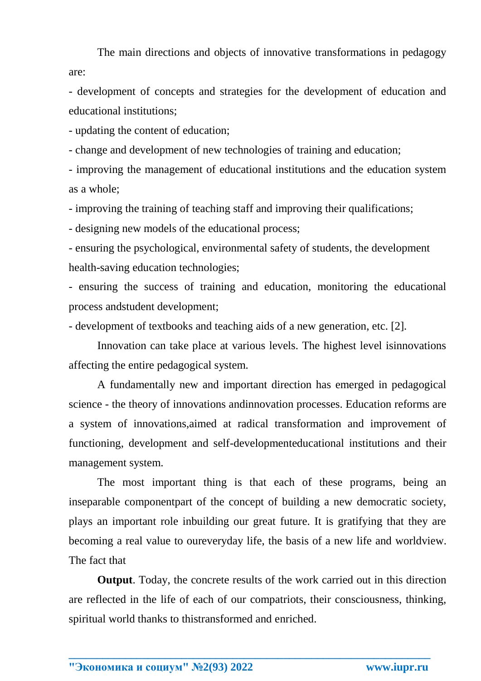The main directions and objects of innovative transformations in pedagogy are:

- development of concepts and strategies for the development of education and educational institutions;

- updating the content of education;

- change and development of new technologies of training and education;

- improving the management of educational institutions and the education system as a whole;

- improving the training of teaching staff and improving their qualifications;

- designing new models of the educational process;

- ensuring the psychological, environmental safety of students, the development health-saving education technologies;

- ensuring the success of training and education, monitoring the educational process andstudent development;

- development of textbooks and teaching aids of a new generation, etc. [2].

Innovation can take place at various levels. The highest level isinnovations affecting the entire pedagogical system.

A fundamentally new and important direction has emerged in pedagogical science - the theory of innovations andinnovation processes. Education reforms are a system of innovations,aimed at radical transformation and improvement of functioning, development and self-developmenteducational institutions and their management system.

The most important thing is that each of these programs, being an inseparable componentpart of the concept of building a new democratic society, plays an important role inbuilding our great future. It is gratifying that they are becoming a real value to oureveryday life, the basis of a new life and worldview. The fact that

**Output**. Today, the concrete results of the work carried out in this direction are reflected in the life of each of our compatriots, their consciousness, thinking, spiritual world thanks to thistransformed and enriched.